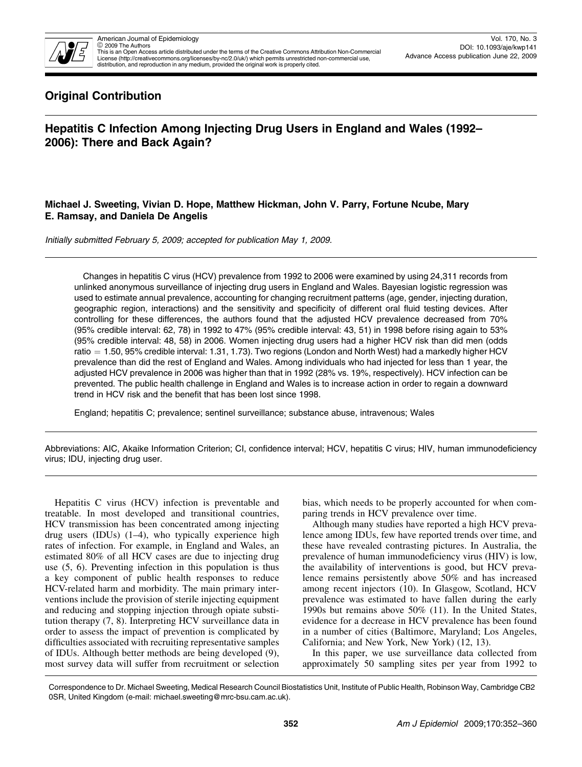

This is an Open Access article distributed under the terms of the Creative Commons Attribution Non-Commercial License (http://creativecommons.org/licenses/by-nc/2.0/uk/) which permits unrestricted non-commercial use, distribution, and reproduction in any medium, provided the original work is properly cited.

## Original Contribution

# Hepatitis C Infection Among Injecting Drug Users in England and Wales (1992– 2006): There and Back Again?

## Michael J. Sweeting, Vivian D. Hope, Matthew Hickman, John V. Parry, Fortune Ncube, Mary E. Ramsay, and Daniela De Angelis

Initially submitted February 5, 2009; accepted for publication May 1, 2009.

Changes in hepatitis C virus (HCV) prevalence from 1992 to 2006 were examined by using 24,311 records from unlinked anonymous surveillance of injecting drug users in England and Wales. Bayesian logistic regression was used to estimate annual prevalence, accounting for changing recruitment patterns (age, gender, injecting duration, geographic region, interactions) and the sensitivity and specificity of different oral fluid testing devices. After controlling for these differences, the authors found that the adjusted HCV prevalence decreased from 70% (95% credible interval: 62, 78) in 1992 to 47% (95% credible interval: 43, 51) in 1998 before rising again to 53% (95% credible interval: 48, 58) in 2006. Women injecting drug users had a higher HCV risk than did men (odds ratio  $= 1.50$ , 95% credible interval: 1.31, 1.73). Two regions (London and North West) had a markedly higher HCV prevalence than did the rest of England and Wales. Among individuals who had injected for less than 1 year, the adjusted HCV prevalence in 2006 was higher than that in 1992 (28% vs. 19%, respectively). HCV infection can be prevented. The public health challenge in England and Wales is to increase action in order to regain a downward trend in HCV risk and the benefit that has been lost since 1998.

England; hepatitis C; prevalence; sentinel surveillance; substance abuse, intravenous; Wales

Abbreviations: AIC, Akaike Information Criterion; CI, confidence interval; HCV, hepatitis C virus; HIV, human immunodeficiency virus; IDU, injecting drug user.

Hepatitis C virus (HCV) infection is preventable and treatable. In most developed and transitional countries, HCV transmission has been concentrated among injecting drug users (IDUs) (1–4), who typically experience high rates of infection. For example, in England and Wales, an estimated 80% of all HCV cases are due to injecting drug use (5, 6). Preventing infection in this population is thus a key component of public health responses to reduce HCV-related harm and morbidity. The main primary interventions include the provision of sterile injecting equipment and reducing and stopping injection through opiate substitution therapy (7, 8). Interpreting HCV surveillance data in order to assess the impact of prevention is complicated by difficulties associated with recruiting representative samples of IDUs. Although better methods are being developed (9), most survey data will suffer from recruitment or selection

bias, which needs to be properly accounted for when comparing trends in HCV prevalence over time.

Although many studies have reported a high HCV prevalence among IDUs, few have reported trends over time, and these have revealed contrasting pictures. In Australia, the prevalence of human immunodeficiency virus (HIV) is low, the availability of interventions is good, but HCV prevalence remains persistently above 50% and has increased among recent injectors (10). In Glasgow, Scotland, HCV prevalence was estimated to have fallen during the early 1990s but remains above 50% (11). In the United States, evidence for a decrease in HCV prevalence has been found in a number of cities (Baltimore, Maryland; Los Angeles, California; and New York, New York) (12, 13).

In this paper, we use surveillance data collected from approximately 50 sampling sites per year from 1992 to

Correspondence to Dr. Michael Sweeting, Medical Research Council Biostatistics Unit, Institute of Public Health, Robinson Way, Cambridge CB2 0SR, United Kingdom (e-mail: michael.sweeting@mrc-bsu.cam.ac.uk).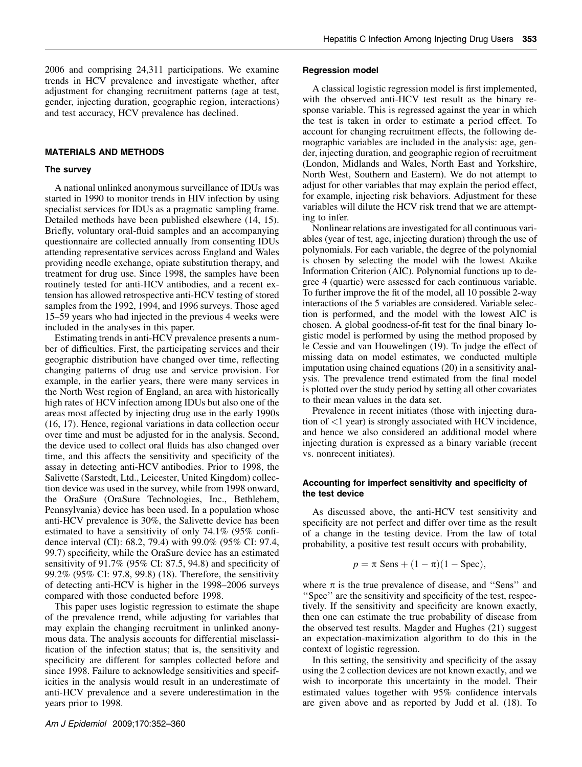2006 and comprising 24,311 participations. We examine trends in HCV prevalence and investigate whether, after adjustment for changing recruitment patterns (age at test, gender, injecting duration, geographic region, interactions) and test accuracy, HCV prevalence has declined.

#### MATERIALS AND METHODS

#### The survey

A national unlinked anonymous surveillance of IDUs was started in 1990 to monitor trends in HIV infection by using specialist services for IDUs as a pragmatic sampling frame. Detailed methods have been published elsewhere (14, 15). Briefly, voluntary oral-fluid samples and an accompanying questionnaire are collected annually from consenting IDUs attending representative services across England and Wales providing needle exchange, opiate substitution therapy, and treatment for drug use. Since 1998, the samples have been routinely tested for anti-HCV antibodies, and a recent extension has allowed retrospective anti-HCV testing of stored samples from the 1992, 1994, and 1996 surveys. Those aged 15–59 years who had injected in the previous 4 weeks were included in the analyses in this paper.

Estimating trends in anti-HCV prevalence presents a number of difficulties. First, the participating services and their geographic distribution have changed over time, reflecting changing patterns of drug use and service provision. For example, in the earlier years, there were many services in the North West region of England, an area with historically high rates of HCV infection among IDUs but also one of the areas most affected by injecting drug use in the early 1990s (16, 17). Hence, regional variations in data collection occur over time and must be adjusted for in the analysis. Second, the device used to collect oral fluids has also changed over time, and this affects the sensitivity and specificity of the assay in detecting anti-HCV antibodies. Prior to 1998, the Salivette (Sarstedt, Ltd., Leicester, United Kingdom) collection device was used in the survey, while from 1998 onward, the OraSure (OraSure Technologies, Inc., Bethlehem, Pennsylvania) device has been used. In a population whose anti-HCV prevalence is 30%, the Salivette device has been estimated to have a sensitivity of only 74.1% (95% confidence interval (CI): 68.2, 79.4) with 99.0% (95% CI: 97.4, 99.7) specificity, while the OraSure device has an estimated sensitivity of 91.7% (95% CI: 87.5, 94.8) and specificity of 99.2% (95% CI: 97.8, 99.8) (18). Therefore, the sensitivity of detecting anti-HCV is higher in the 1998–2006 surveys compared with those conducted before 1998.

This paper uses logistic regression to estimate the shape of the prevalence trend, while adjusting for variables that may explain the changing recruitment in unlinked anonymous data. The analysis accounts for differential misclassification of the infection status; that is, the sensitivity and specificity are different for samples collected before and since 1998. Failure to acknowledge sensitivities and specificities in the analysis would result in an underestimate of anti-HCV prevalence and a severe underestimation in the years prior to 1998.

#### Regression model

A classical logistic regression model is first implemented, with the observed anti-HCV test result as the binary response variable. This is regressed against the year in which the test is taken in order to estimate a period effect. To account for changing recruitment effects, the following demographic variables are included in the analysis: age, gender, injecting duration, and geographic region of recruitment (London, Midlands and Wales, North East and Yorkshire, North West, Southern and Eastern). We do not attempt to adjust for other variables that may explain the period effect, for example, injecting risk behaviors. Adjustment for these variables will dilute the HCV risk trend that we are attempting to infer.

Nonlinear relations are investigated for all continuous variables (year of test, age, injecting duration) through the use of polynomials. For each variable, the degree of the polynomial is chosen by selecting the model with the lowest Akaike Information Criterion (AIC). Polynomial functions up to degree 4 (quartic) were assessed for each continuous variable. To further improve the fit of the model, all 10 possible 2-way interactions of the 5 variables are considered. Variable selection is performed, and the model with the lowest AIC is chosen. A global goodness-of-fit test for the final binary logistic model is performed by using the method proposed by le Cessie and van Houwelingen (19). To judge the effect of missing data on model estimates, we conducted multiple imputation using chained equations (20) in a sensitivity analysis. The prevalence trend estimated from the final model is plotted over the study period by setting all other covariates to their mean values in the data set.

Prevalence in recent initiates (those with injecting duration of <1 year) is strongly associated with HCV incidence, and hence we also considered an additional model where injecting duration is expressed as a binary variable (recent vs. nonrecent initiates).

#### Accounting for imperfect sensitivity and specificity of the test device

As discussed above, the anti-HCV test sensitivity and specificity are not perfect and differ over time as the result of a change in the testing device. From the law of total probability, a positive test result occurs with probability,

$$
p = \pi \operatorname{Sens} + (1 - \pi)(1 - \operatorname{Spec}),
$$

where  $\pi$  is the true prevalence of disease, and "Sens" and ''Spec'' are the sensitivity and specificity of the test, respectively. If the sensitivity and specificity are known exactly, then one can estimate the true probability of disease from the observed test results. Magder and Hughes (21) suggest an expectation-maximization algorithm to do this in the context of logistic regression.

In this setting, the sensitivity and specificity of the assay using the 2 collection devices are not known exactly, and we wish to incorporate this uncertainty in the model. Their estimated values together with 95% confidence intervals are given above and as reported by Judd et al. (18). To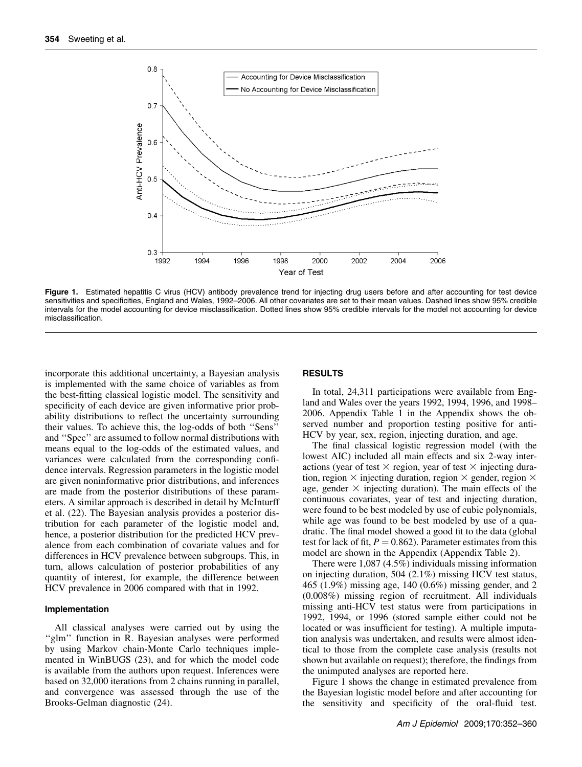

Figure 1. Estimated hepatitis C virus (HCV) antibody prevalence trend for injecting drug users before and after accounting for test device sensitivities and specificities, England and Wales, 1992–2006. All other covariates are set to their mean values. Dashed lines show 95% credible intervals for the model accounting for device misclassification. Dotted lines show 95% credible intervals for the model not accounting for device misclassification.

incorporate this additional uncertainty, a Bayesian analysis is implemented with the same choice of variables as from the best-fitting classical logistic model. The sensitivity and specificity of each device are given informative prior probability distributions to reflect the uncertainty surrounding their values. To achieve this, the log-odds of both ''Sens'' and ''Spec'' are assumed to follow normal distributions with means equal to the log-odds of the estimated values, and variances were calculated from the corresponding confidence intervals. Regression parameters in the logistic model are given noninformative prior distributions, and inferences are made from the posterior distributions of these parameters. A similar approach is described in detail by McInturff et al. (22). The Bayesian analysis provides a posterior distribution for each parameter of the logistic model and, hence, a posterior distribution for the predicted HCV prevalence from each combination of covariate values and for differences in HCV prevalence between subgroups. This, in turn, allows calculation of posterior probabilities of any quantity of interest, for example, the difference between HCV prevalence in 2006 compared with that in 1992.

#### Implementation

All classical analyses were carried out by using the "glm" function in R. Bayesian analyses were performed by using Markov chain-Monte Carlo techniques implemented in WinBUGS (23), and for which the model code is available from the authors upon request. Inferences were based on 32,000 iterations from 2 chains running in parallel, and convergence was assessed through the use of the Brooks-Gelman diagnostic (24).

#### RESULTS

In total, 24,311 participations were available from England and Wales over the years 1992, 1994, 1996, and 1998– 2006. Appendix Table 1 in the Appendix shows the observed number and proportion testing positive for anti-HCV by year, sex, region, injecting duration, and age.

The final classical logistic regression model (with the lowest AIC) included all main effects and six 2-way interactions (year of test  $\times$  region, year of test  $\times$  injecting duration, region  $\times$  injecting duration, region  $\times$  gender, region  $\times$ age, gender  $\times$  injecting duration). The main effects of the continuous covariates, year of test and injecting duration, were found to be best modeled by use of cubic polynomials, while age was found to be best modeled by use of a quadratic. The final model showed a good fit to the data (global test for lack of fit,  $P = 0.862$ ). Parameter estimates from this model are shown in the Appendix (Appendix Table 2).

There were 1,087 (4.5%) individuals missing information on injecting duration, 504 (2.1%) missing HCV test status, 465 (1.9%) missing age, 140 (0.6%) missing gender, and 2 (0.008%) missing region of recruitment. All individuals missing anti-HCV test status were from participations in 1992, 1994, or 1996 (stored sample either could not be located or was insufficient for testing). A multiple imputation analysis was undertaken, and results were almost identical to those from the complete case analysis (results not shown but available on request); therefore, the findings from the unimputed analyses are reported here.

Figure 1 shows the change in estimated prevalence from the Bayesian logistic model before and after accounting for the sensitivity and specificity of the oral-fluid test.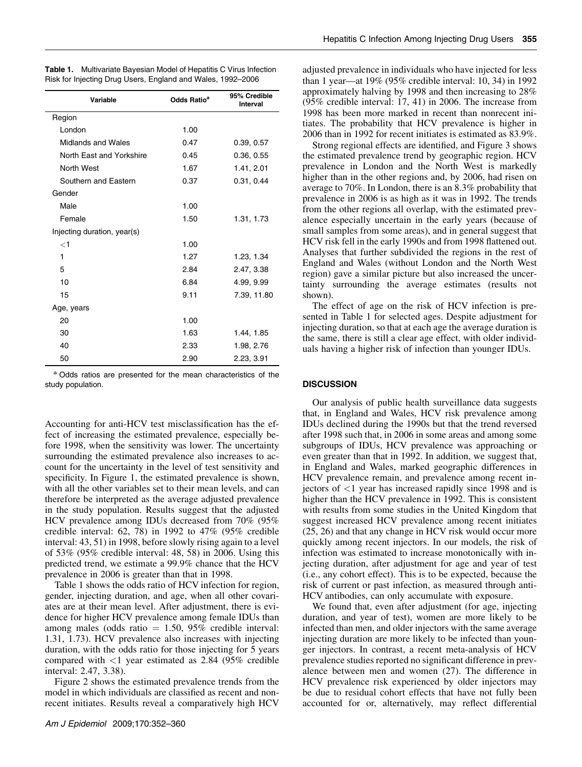| Variable                    | Odds Ratio <sup>a</sup> | 95% Credible<br>Interval |  |
|-----------------------------|-------------------------|--------------------------|--|
| Region                      |                         |                          |  |
| London                      | 1.00                    |                          |  |
| Midlands and Wales          | 0.47                    | 0.39, 0.57               |  |
| North East and Yorkshire    | 0.45                    | 0.36, 0.55               |  |
| North West                  | 1.67                    | 1.41, 2.01               |  |
| Southern and Eastern        | 0.37                    | 0.31, 0.44               |  |
| Gender                      |                         |                          |  |
| Male                        | 1.00                    |                          |  |
| Female                      | 1.50                    | 1.31, 1.73               |  |
| Injecting duration, year(s) |                         |                          |  |
| $<$ 1                       | 1.00                    |                          |  |
| 1                           | 1.27                    | 1.23, 1.34               |  |
| 5                           | 2.84                    | 2.47, 3.38               |  |
| 10                          | 6.84                    | 4.99, 9.99               |  |
| 15                          | 9.11                    | 7.39, 11.80              |  |
| Age, years                  |                         |                          |  |
| 20                          | 1.00                    |                          |  |
| 30                          | 1.63                    | 1.44, 1.85               |  |
| 40                          | 2.33                    | 1.98, 2.76               |  |
| 50                          | 2.90                    | 2.23, 3.91               |  |

| <b>Table 1.</b> Multivariate Bayesian Model of Hepatitis C Virus Infection |  |  |  |
|----------------------------------------------------------------------------|--|--|--|
| Risk for Injecting Drug Users, England and Wales, 1992–2006                |  |  |  |

<sup>a</sup> Odds ratios are presented for the mean characteristics of the study population.

Accounting for anti-HCV test misclassification has the effect of increasing the estimated prevalence, especially before 1998, when the sensitivity was lower. The uncertainty surrounding the estimated prevalence also increases to account for the uncertainty in the level of test sensitivity and specificity. In Figure 1, the estimated prevalence is shown, with all the other variables set to their mean levels, and can therefore be interpreted as the average adjusted prevalence in the study population. Results suggest that the adjusted HCV prevalence among IDUs decreased from 70% (95% credible interval: 62, 78) in 1992 to 47% (95% credible interval: 43, 51) in 1998, before slowly rising again to a level of 53% (95% credible interval: 48, 58) in 2006. Using this predicted trend, we estimate a 99.9% chance that the HCV prevalence in 2006 is greater than that in 1998.

Table 1 shows the odds ratio of HCV infection for region, gender, injecting duration, and age, when all other covariates are at their mean level. After adjustment, there is evidence for higher HCV prevalence among female IDUs than among males (odds ratio  $= 1.50, 95\%$  credible interval: 1.31, 1.73). HCV prevalence also increases with injecting duration, with the odds ratio for those injecting for 5 years compared with  $\langle 1 \rangle$  year estimated as 2.84 (95% credible interval: 2.47, 3.38).

Figure 2 shows the estimated prevalence trends from the model in which individuals are classified as recent and nonrecent initiates. Results reveal a comparatively high HCV adjusted prevalence in individuals who have injected for less than 1 year—at 19% (95% credible interval: 10, 34) in 1992 approximately halving by 1998 and then increasing to 28% (95% credible interval: 17, 41) in 2006. The increase from 1998 has been more marked in recent than nonrecent initiates. The probability that HCV prevalence is higher in 2006 than in 1992 for recent initiates is estimated as 83.9%.

Strong regional effects are identified, and Figure 3 shows the estimated prevalence trend by geographic region. HCV prevalence in London and the North West is markedly higher than in the other regions and, by 2006, had risen on average to 70%. In London, there is an 8.3% probability that prevalence in 2006 is as high as it was in 1992. The trends from the other regions all overlap, with the estimated prevalence especially uncertain in the early years (because of small samples from some areas), and in general suggest that HCV risk fell in the early 1990s and from 1998 flattened out. Analyses that further subdivided the regions in the rest of England and Wales (without London and the North West region) gave a similar picture but also increased the uncertainty surrounding the average estimates (results not shown).

The effect of age on the risk of HCV infection is presented in Table 1 for selected ages. Despite adjustment for injecting duration, so that at each age the average duration is the same, there is still a clear age effect, with older individuals having a higher risk of infection than younger IDUs.

#### **DISCUSSION**

Our analysis of public health surveillance data suggests that, in England and Wales, HCV risk prevalence among IDUs declined during the 1990s but that the trend reversed after 1998 such that, in 2006 in some areas and among some subgroups of IDUs, HCV prevalence was approaching or even greater than that in 1992. In addition, we suggest that, in England and Wales, marked geographic differences in HCV prevalence remain, and prevalence among recent injectors of <1 year has increased rapidly since 1998 and is higher than the HCV prevalence in 1992. This is consistent with results from some studies in the United Kingdom that suggest increased HCV prevalence among recent initiates (25, 26) and that any change in HCV risk would occur more quickly among recent injectors. In our models, the risk of infection was estimated to increase monotonically with injecting duration, after adjustment for age and year of test (i.e., any cohort effect). This is to be expected, because the risk of current or past infection, as measured through anti-HCV antibodies, can only accumulate with exposure.

We found that, even after adjustment (for age, injecting duration, and year of test), women are more likely to be infected than men, and older injectors with the same average injecting duration are more likely to be infected than younger injectors. In contrast, a recent meta-analysis of HCV prevalence studies reported no significant difference in prevalence between men and women (27). The difference in HCV prevalence risk experienced by older injectors may be due to residual cohort effects that have not fully been accounted for or, alternatively, may reflect differential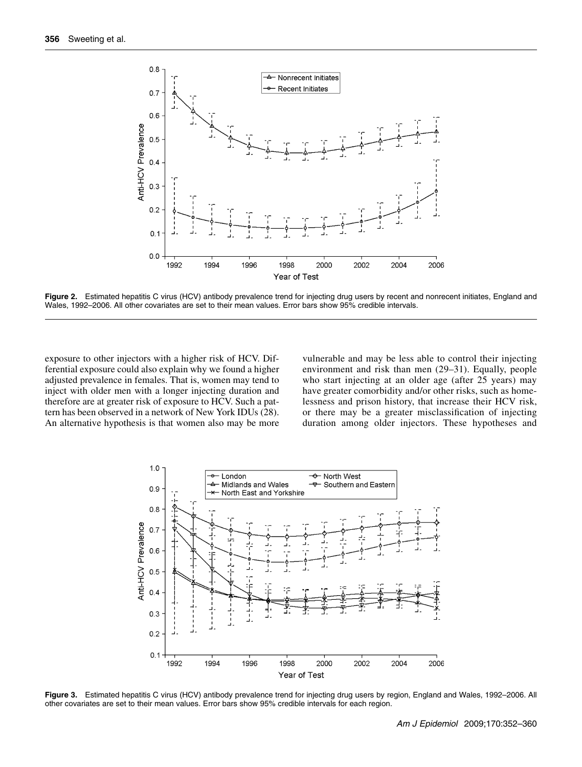

Figure 2. Estimated hepatitis C virus (HCV) antibody prevalence trend for injecting drug users by recent and nonrecent initiates, England and Wales, 1992–2006. All other covariates are set to their mean values. Error bars show 95% credible intervals.

exposure to other injectors with a higher risk of HCV. Differential exposure could also explain why we found a higher adjusted prevalence in females. That is, women may tend to inject with older men with a longer injecting duration and therefore are at greater risk of exposure to HCV. Such a pattern has been observed in a network of New York IDUs (28). An alternative hypothesis is that women also may be more

vulnerable and may be less able to control their injecting environment and risk than men (29–31). Equally, people who start injecting at an older age (after 25 years) may have greater comorbidity and/or other risks, such as homelessness and prison history, that increase their HCV risk, or there may be a greater misclassification of injecting duration among older injectors. These hypotheses and



Figure 3. Estimated hepatitis C virus (HCV) antibody prevalence trend for injecting drug users by region, England and Wales, 1992-2006. All other covariates are set to their mean values. Error bars show 95% credible intervals for each region.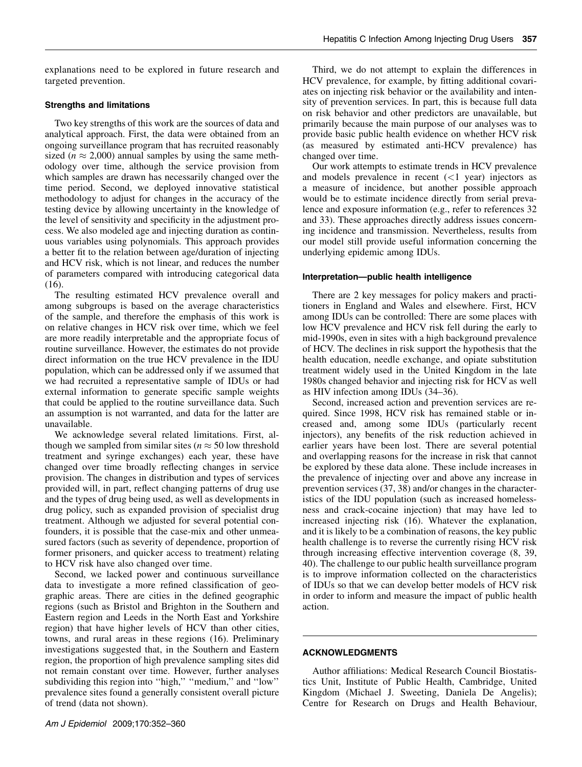Third, we do not attempt to explain the differences in HCV prevalence, for example, by fitting additional covariates on injecting risk behavior or the availability and intensity of prevention services. In part, this is because full data on risk behavior and other predictors are unavailable, but primarily because the main purpose of our analyses was to provide basic public health evidence on whether HCV risk (as measured by estimated anti-HCV prevalence) has

Our work attempts to estimate trends in HCV prevalence and models prevalence in recent  $(<1$  year) injectors as a measure of incidence, but another possible approach

explanations need to be explored in future research and targeted prevention.

## Strengths and limitations

Two key strengths of this work are the sources of data and analytical approach. First, the data were obtained from an ongoing surveillance program that has recruited reasonably sized ( $n \approx 2,000$ ) annual samples by using the same methodology over time, although the service provision from which samples are drawn has necessarily changed over the time period. Second, we deployed innovative statistical methodology to adjust for changes in the accuracy of the testing device by allowing uncertainty in the knowledge of the level of sensitivity and specificity in the adjustment process. We also modeled age and injecting duration as continuous variables using polynomials. This approach provides a better fit to the relation between age/duration of injecting and HCV risk, which is not linear, and reduces the number of parameters compared with introducing categorical data (16).

The resulting estimated HCV prevalence overall and among subgroups is based on the average characteristics of the sample, and therefore the emphasis of this work is on relative changes in HCV risk over time, which we feel are more readily interpretable and the appropriate focus of routine surveillance. However, the estimates do not provide direct information on the true HCV prevalence in the IDU population, which can be addressed only if we assumed that we had recruited a representative sample of IDUs or had external information to generate specific sample weights that could be applied to the routine surveillance data. Such an assumption is not warranted, and data for the latter are unavailable.

We acknowledge several related limitations. First, although we sampled from similar sites ( $n \approx 50$  low threshold treatment and syringe exchanges) each year, these have changed over time broadly reflecting changes in service provision. The changes in distribution and types of services provided will, in part, reflect changing patterns of drug use and the types of drug being used, as well as developments in drug policy, such as expanded provision of specialist drug treatment. Although we adjusted for several potential confounders, it is possible that the case-mix and other unmeasured factors (such as severity of dependence, proportion of former prisoners, and quicker access to treatment) relating to HCV risk have also changed over time.

Second, we lacked power and continuous surveillance data to investigate a more refined classification of geographic areas. There are cities in the defined geographic regions (such as Bristol and Brighton in the Southern and Eastern region and Leeds in the North East and Yorkshire region) that have higher levels of HCV than other cities, towns, and rural areas in these regions (16). Preliminary investigations suggested that, in the Southern and Eastern region, the proportion of high prevalence sampling sites did not remain constant over time. However, further analyses subdividing this region into "high," "medium," and "low" prevalence sites found a generally consistent overall picture of trend (data not shown).

would be to estimate incidence directly from serial prevalence and exposure information (e.g., refer to references 32 and 33). These approaches directly address issues concerning incidence and transmission. Nevertheless, results from our model still provide useful information concerning the underlying epidemic among IDUs.

changed over time.

## Interpretation—public health intelligence

There are 2 key messages for policy makers and practitioners in England and Wales and elsewhere. First, HCV among IDUs can be controlled: There are some places with low HCV prevalence and HCV risk fell during the early to mid-1990s, even in sites with a high background prevalence of HCV. The declines in risk support the hypothesis that the health education, needle exchange, and opiate substitution treatment widely used in the United Kingdom in the late 1980s changed behavior and injecting risk for HCV as well as HIV infection among IDUs (34–36).

Second, increased action and prevention services are required. Since 1998, HCV risk has remained stable or increased and, among some IDUs (particularly recent injectors), any benefits of the risk reduction achieved in earlier years have been lost. There are several potential and overlapping reasons for the increase in risk that cannot be explored by these data alone. These include increases in the prevalence of injecting over and above any increase in prevention services (37, 38) and/or changes in the characteristics of the IDU population (such as increased homelessness and crack-cocaine injection) that may have led to increased injecting risk (16). Whatever the explanation, and it is likely to be a combination of reasons, the key public health challenge is to reverse the currently rising HCV risk through increasing effective intervention coverage (8, 39, 40). The challenge to our public health surveillance program is to improve information collected on the characteristics of IDUs so that we can develop better models of HCV risk in order to inform and measure the impact of public health action.

### ACKNOWLEDGMENTS

Author affiliations: Medical Research Council Biostatistics Unit, Institute of Public Health, Cambridge, United Kingdom (Michael J. Sweeting, Daniela De Angelis); Centre for Research on Drugs and Health Behaviour,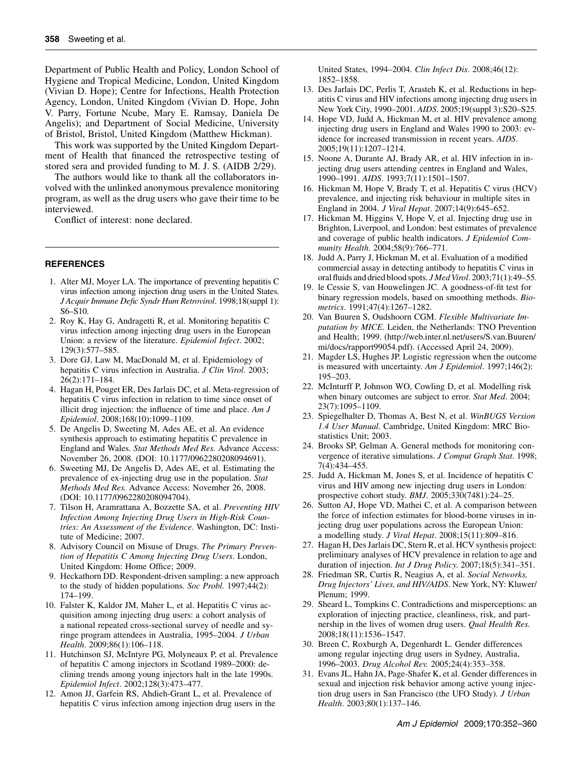Department of Public Health and Policy, London School of Hygiene and Tropical Medicine, London, United Kingdom (Vivian D. Hope); Centre for Infections, Health Protection Agency, London, United Kingdom (Vivian D. Hope, John V. Parry, Fortune Ncube, Mary E. Ramsay, Daniela De Angelis); and Department of Social Medicine, University of Bristol, Bristol, United Kingdom (Matthew Hickman).

This work was supported by the United Kingdom Department of Health that financed the retrospective testing of stored sera and provided funding to M. J. S. (AIDB 2/29).

The authors would like to thank all the collaborators involved with the unlinked anonymous prevalence monitoring program, as well as the drug users who gave their time to be interviewed.

Conflict of interest: none declared.

#### **REFERENCES**

- 1. Alter MJ, Moyer LA. The importance of preventing hepatitis C virus infection among injection drug users in the United States. J Acquir Immune Defic Syndr Hum Retrovirol. 1998;18(suppl 1): S6–S10.
- 2. Roy K, Hay G, Andragetti R, et al. Monitoring hepatitis C virus infection among injecting drug users in the European Union: a review of the literature. Epidemiol Infect. 2002; 129(3):577–585.
- 3. Dore GJ, Law M, MacDonald M, et al. Epidemiology of hepatitis C virus infection in Australia. J Clin Virol. 2003; 26(2):171–184.
- 4. Hagan H, Pouget ER, Des Jarlais DC, et al. Meta-regression of hepatitis C virus infection in relation to time since onset of illicit drug injection: the influence of time and place.  $Am J$ Epidemiol. 2008;168(10):1099–1109.
- 5. De Angelis D, Sweeting M, Ades AE, et al. An evidence synthesis approach to estimating hepatitis C prevalence in England and Wales. Stat Methods Med Res. Advance Access: November 26, 2008. (DOI: 10.1177/0962280208094691).
- 6. Sweeting MJ, De Angelis D, Ades AE, et al. Estimating the prevalence of ex-injecting drug use in the population. Stat Methods Med Res. Advance Access: November 26, 2008. (DOI: 10.1177/0962280208094704).
- 7. Tilson H, Aramrattana A, Bozzette SA, et al. Preventing HIV Infection Among Injecting Drug Users in High-Risk Countries: An Assessment of the Evidence. Washington, DC: Institute of Medicine; 2007.
- 8. Advisory Council on Misuse of Drugs. The Primary Prevention of Hepatitis C Among Injecting Drug Users. London, United Kingdom: Home Office; 2009.
- 9. Heckathorn DD. Respondent-driven sampling: a new approach to the study of hidden populations. Soc Probl. 1997;44(2): 174–199.
- 10. Falster K, Kaldor JM, Maher L, et al. Hepatitis C virus acquisition among injecting drug users: a cohort analysis of a national repeated cross-sectional survey of needle and syringe program attendees in Australia, 1995–2004. J Urban Health. 2009;86(1):106–118.
- 11. Hutchinson SJ, McIntyre PG, Molyneaux P, et al. Prevalence of hepatitis C among injectors in Scotland 1989–2000: declining trends among young injectors halt in the late 1990s. Epidemiol Infect. 2002;128(3):473–477.
- 12. Amon JJ, Garfein RS, Ahdieh-Grant L, et al. Prevalence of hepatitis C virus infection among injection drug users in the

United States, 1994–2004. Clin Infect Dis. 2008;46(12): 1852–1858.

- 13. Des Jarlais DC, Perlis T, Arasteh K, et al. Reductions in hepatitis C virus and HIV infections among injecting drug users in New York City, 1990–2001. AIDS. 2005;19(suppl 3):S20–S25.
- 14. Hope VD, Judd A, Hickman M, et al. HIV prevalence among injecting drug users in England and Wales 1990 to 2003: evidence for increased transmission in recent years. AIDS. 2005;19(11):1207–1214.
- 15. Noone A, Durante AJ, Brady AR, et al. HIV infection in injecting drug users attending centres in England and Wales, 1990–1991. AIDS. 1993;7(11):1501–1507.
- 16. Hickman M, Hope V, Brady T, et al. Hepatitis C virus (HCV) prevalence, and injecting risk behaviour in multiple sites in England in 2004. J Viral Hepat. 2007;14(9):645–652.
- 17. Hickman M, Higgins V, Hope V, et al. Injecting drug use in Brighton, Liverpool, and London: best estimates of prevalence and coverage of public health indicators. J Epidemiol Community Health. 2004;58(9):766–771.
- 18. Judd A, Parry J, Hickman M, et al. Evaluation of a modified commercial assay in detecting antibody to hepatitis C virus in oral fluids and dried blood spots. J Med Virol. 2003;71(1):49–55.
- 19. le Cessie S, van Houwelingen JC. A goodness-of-fit test for binary regression models, based on smoothing methods. Biometrics. 1991;47(4):1267–1282.
- 20. Van Buuren S, Oudshoorn CGM. Flexible Multivariate Imputation by MICE. Leiden, the Netherlands: TNO Prevention and Health; 1999. [\(http://web.inter.nl.net/users/S.van.Buuren/](http://web.inter.nl.net/users/S.van.Buuren/mi/docs/rapport99054.pdf) [mi/docs/rapport99054.pdf](http://web.inter.nl.net/users/S.van.Buuren/mi/docs/rapport99054.pdf)). (Accessed April 24, 2009).
- 21. Magder LS, Hughes JP. Logistic regression when the outcome is measured with uncertainty. Am J Epidemiol. 1997;146(2): 195–203.
- 22. McInturff P, Johnson WO, Cowling D, et al. Modelling risk when binary outcomes are subject to error. Stat Med. 2004; 23(7):1095–1109.
- 23. Spiegelhalter D, Thomas A, Best N, et al. WinBUGS Version 1.4 User Manual. Cambridge, United Kingdom: MRC Biostatistics Unit; 2003.
- 24. Brooks SP, Gelman A. General methods for monitoring convergence of iterative simulations. J Comput Graph Stat. 1998; 7(4):434–455.
- 25. Judd A, Hickman M, Jones S, et al. Incidence of hepatitis C virus and HIV among new injecting drug users in London: prospective cohort study. BMJ. 2005;330(7481):24–25.
- 26. Sutton AJ, Hope VD, Mathei C, et al. A comparison between the force of infection estimates for blood-borne viruses in injecting drug user populations across the European Union: a modelling study. J Viral Hepat. 2008;15(11):809–816.
- 27. Hagan H, Des Jarlais DC, Stern R, et al. HCV synthesis project: preliminary analyses of HCV prevalence in relation to age and duration of injection. Int J Drug Policy. 2007;18(5):341-351.
- 28. Friedman SR, Curtis R, Neagius A, et al. Social Networks, Drug Injectors' Lives, and HIV/AIDS. New York, NY: Kluwer/ Plenum; 1999.
- 29. Sheard L, Tompkins C. Contradictions and misperceptions: an exploration of injecting practice, cleanliness, risk, and partnership in the lives of women drug users. Qual Health Res. 2008;18(11):1536–1547.
- 30. Breen C, Roxburgh A, Degenhardt L. Gender differences among regular injecting drug users in Sydney, Australia, 1996–2003. Drug Alcohol Rev. 2005;24(4):353–358.
- 31. Evans JL, Hahn JA, Page-Shafer K, et al. Gender differences in sexual and injection risk behavior among active young injection drug users in San Francisco (the UFO Study). J Urban Health. 2003;80(1):137–146.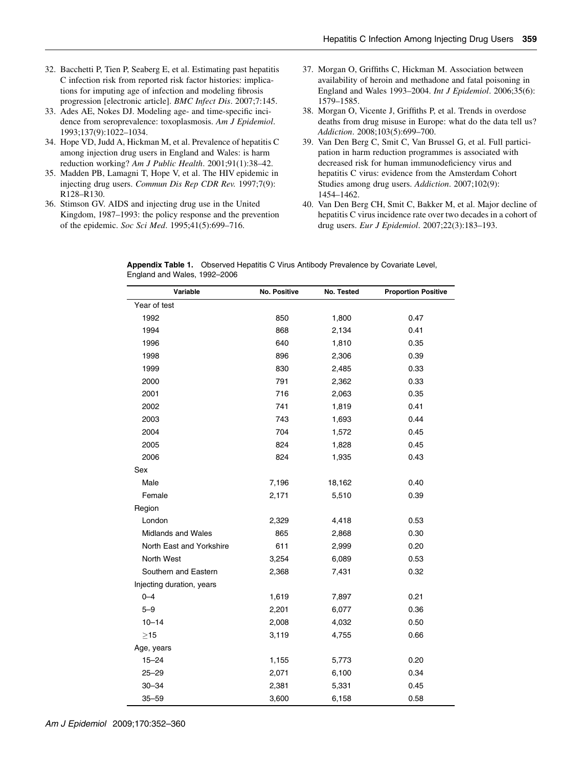- 32. Bacchetti P, Tien P, Seaberg E, et al. Estimating past hepatitis C infection risk from reported risk factor histories: implications for imputing age of infection and modeling fibrosis progression [electronic article]. BMC Infect Dis. 2007;7:145.
- 33. Ades AE, Nokes DJ. Modeling age- and time-specific incidence from seroprevalence: toxoplasmosis. Am J Epidemiol. 1993;137(9):1022–1034.
- 34. Hope VD, Judd A, Hickman M, et al. Prevalence of hepatitis C among injection drug users in England and Wales: is harm reduction working? Am J Public Health. 2001;91(1):38-42.
- 35. Madden PB, Lamagni T, Hope V, et al. The HIV epidemic in injecting drug users. Commun Dis Rep CDR Rev. 1997;7(9): R128–R130.
- 36. Stimson GV. AIDS and injecting drug use in the United Kingdom, 1987–1993: the policy response and the prevention of the epidemic. Soc Sci Med. 1995;41(5):699–716.
- 37. Morgan O, Griffiths C, Hickman M. Association between availability of heroin and methadone and fatal poisoning in England and Wales 1993–2004. Int J Epidemiol. 2006;35(6): 1579–1585.
- 38. Morgan O, Vicente J, Griffiths P, et al. Trends in overdose deaths from drug misuse in Europe: what do the data tell us? Addiction. 2008;103(5):699-700.
- 39. Van Den Berg C, Smit C, Van Brussel G, et al. Full participation in harm reduction programmes is associated with decreased risk for human immunodeficiency virus and hepatitis C virus: evidence from the Amsterdam Cohort Studies among drug users. Addiction. 2007;102(9): 1454–1462.
- 40. Van Den Berg CH, Smit C, Bakker M, et al. Major decline of hepatitis C virus incidence rate over two decades in a cohort of drug users. Eur J Epidemiol. 2007;22(3):183–193.

Appendix Table 1. Observed Hepatitis C Virus Antibody Prevalence by Covariate Level, England and Wales, 1992–2006

| Variable                  | No. Positive | No. Tested | <b>Proportion Positive</b> |
|---------------------------|--------------|------------|----------------------------|
| Year of test              |              |            |                            |
| 1992                      | 850          | 1,800      | 0.47                       |
| 1994                      | 868          | 2,134      | 0.41                       |
| 1996                      | 640          | 1,810      | 0.35                       |
| 1998                      | 896          | 2,306      | 0.39                       |
| 1999                      | 830          | 2,485      | 0.33                       |
| 2000                      | 791          | 2,362      | 0.33                       |
| 2001                      | 716          | 2,063      | 0.35                       |
| 2002                      | 741          | 1,819      | 0.41                       |
| 2003                      | 743          | 1,693      | 0.44                       |
| 2004                      | 704          | 1,572      | 0.45                       |
| 2005                      | 824          | 1,828      | 0.45                       |
| 2006                      | 824          | 1,935      | 0.43                       |
| Sex                       |              |            |                            |
| Male                      | 7,196        | 18,162     | 0.40                       |
| Female                    | 2,171        | 5,510      | 0.39                       |
| Region                    |              |            |                            |
| London                    | 2,329        | 4,418      | 0.53                       |
| <b>Midlands and Wales</b> | 865          | 2,868      | 0.30                       |
| North East and Yorkshire  | 611          | 2,999      | 0.20                       |
| North West                | 3,254        | 6,089      | 0.53                       |
| Southern and Eastern      | 2,368        | 7,431      | 0.32                       |
| Injecting duration, years |              |            |                            |
| $0 - 4$                   | 1,619        | 7,897      | 0.21                       |
| $5 - 9$                   | 2,201        | 6,077      | 0.36                       |
| $10 - 14$                 | 2,008        | 4,032      | 0.50                       |
| $>15$                     | 3,119        | 4,755      | 0.66                       |
| Age, years                |              |            |                            |
| $15 - 24$                 | 1,155        | 5,773      | 0.20                       |
| $25 - 29$                 | 2,071        | 6,100      | 0.34                       |
| $30 - 34$                 | 2,381        | 5,331      | 0.45                       |
| $35 - 59$                 | 3,600        | 6,158      | 0.58                       |